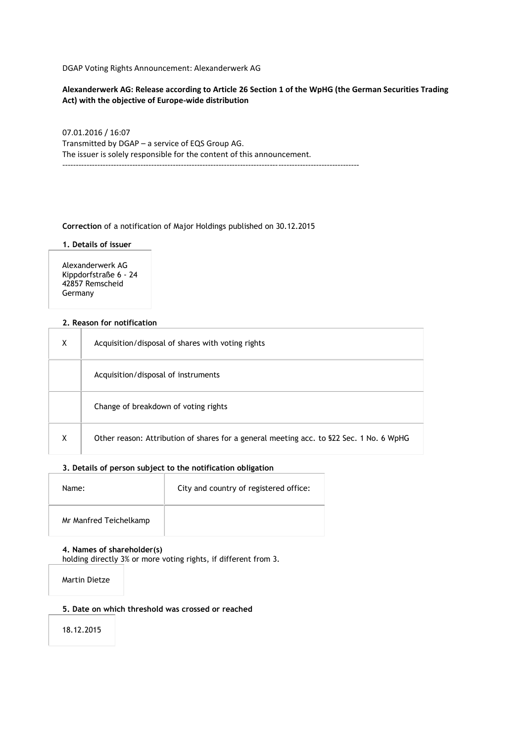DGAP Voting Rights Announcement: Alexanderwerk AG

**Alexanderwerk AG: Release according to Article 26 Section 1 of the WpHG (the German Securities Trading Act) with the objective of Europe-wide distribution**

07.01.2016 / 16:07 Transmitted by DGAP – a service of EQS Group AG. The issuer is solely responsible for the content of this announcement.

--------------------------------------------------------------------------------------------------------------

**Correction** of a notification of Major Holdings published on 30.12.2015

**1. Details of issuer**

Alexanderwerk AG Kippdorfstraße 6 - 24 42857 Remscheid Germany

### **2. Reason for notification**

| X | Acquisition/disposal of shares with voting rights                                        |
|---|------------------------------------------------------------------------------------------|
|   | Acquisition/disposal of instruments                                                      |
|   | Change of breakdown of voting rights                                                     |
| X | Other reason: Attribution of shares for a general meeting acc. to \$22 Sec. 1 No. 6 WpHG |

### **3. Details of person subject to the notification obligation**

| Name:                  | City and country of registered office: |
|------------------------|----------------------------------------|
| Mr Manfred Teichelkamp |                                        |

## **4. Names of shareholder(s)**

holding directly 3% or more voting rights, if different from 3.

Martin Dietze

### **5. Date on which threshold was crossed or reached**

18.12.2015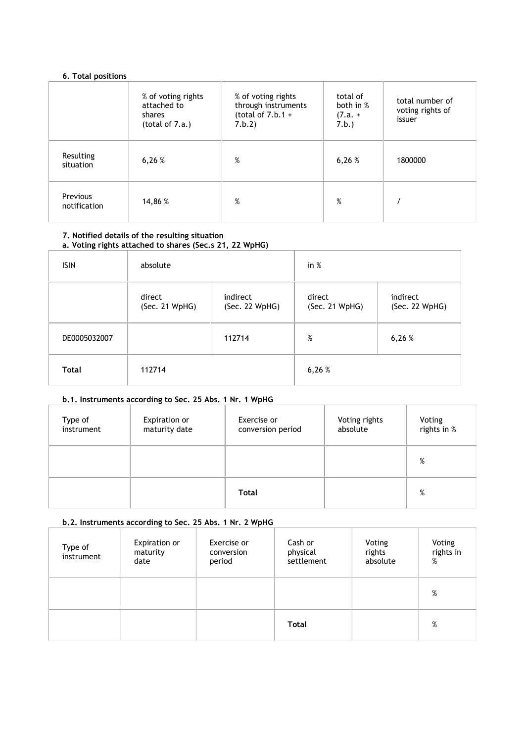## **6. Total positions**

|                          | % of voting rights<br>attached to<br>shares<br>(total of $7.a.$ ) | % of voting rights<br>through instruments<br>(total of $7.b.1 +$<br>7.b.2) | total of<br>both in %<br>$(7.a. +$<br>7.b.) | total number of<br>voting rights of<br>issuer |
|--------------------------|-------------------------------------------------------------------|----------------------------------------------------------------------------|---------------------------------------------|-----------------------------------------------|
| Resulting<br>situation   | 6,26%                                                             | %                                                                          | 6,26%                                       | 1800000                                       |
| Previous<br>notification | 14,86 %                                                           | %                                                                          | $\%$                                        |                                               |

### **7. Notified details of the resulting situation a. Voting rights attached to shares (Sec.s 21, 22 WpHG)**

#### ISIN absolute in % direct (Sec. 21 WpHG) indirect (Sec. 22 WpHG) direct (Sec. 21 WpHG)

|              | (Sec. 21 WpHG) | (Sec. 22 WpHG) | (Sec. 21 WpHG) | (Sec. 22 WpHG) |
|--------------|----------------|----------------|----------------|----------------|
| DE0005032007 |                | 112714         | %              | 6,26%          |
| Total        | 112714         |                | 6,26%          |                |

indirect

## **b.1. Instruments according to Sec. 25 Abs. 1 Nr. 1 WpHG**

| Type of<br>instrument | Expiration or<br>maturity date | Exercise or<br>conversion period | Voting rights<br>absolute | Voting<br>rights in % |
|-----------------------|--------------------------------|----------------------------------|---------------------------|-----------------------|
|                       |                                |                                  |                           | %                     |
|                       |                                | Total                            |                           | %                     |

## **b.2. Instruments according to Sec. 25 Abs. 1 Nr. 2 WpHG**

| Type of<br>instrument | Expiration or<br>maturity<br>date | Exercise or<br>conversion<br>period | Cash or<br>physical<br>settlement | Voting<br>rights<br>absolute | Voting<br>rights in<br>% |
|-----------------------|-----------------------------------|-------------------------------------|-----------------------------------|------------------------------|--------------------------|
|                       |                                   |                                     |                                   |                              | %                        |
|                       |                                   |                                     | Total                             |                              | %                        |